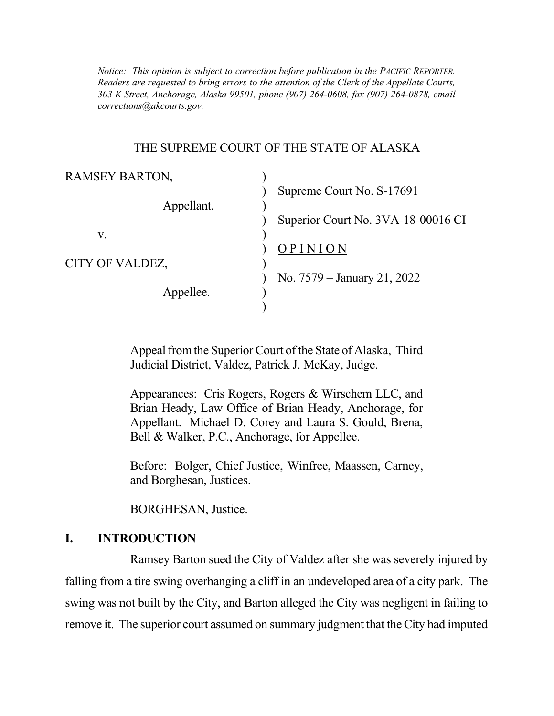*Notice: This opinion is subject to correction before publication in the PACIFIC REPORTER. Readers are requested to bring errors to the attention of the Clerk of the Appellate Courts, 303 K Street, Anchorage, Alaska 99501, phone (907) 264-0608, fax (907) 264-0878, email corrections@akcourts.gov.* 

### THE SUPREME COURT OF THE STATE OF ALASKA

| <b>RAMSEY BARTON,</b>        |                                    |
|------------------------------|------------------------------------|
|                              | Supreme Court No. S-17691          |
| Appellant,                   | Superior Court No. 3VA-18-00016 CI |
| V.                           |                                    |
| CITY OF VALDEZ,<br>Appellee. | OPINION                            |
|                              | No. 7579 – January 21, 2022        |
|                              |                                    |
|                              |                                    |

 Appeal from the Superior Court of the State of Alaska, Third Judicial District, Valdez, Patrick J. McKay, Judge.

 Appearances: Cris Rogers, Rogers & Wirschem LLC, and Brian Heady, Law Office of Brian Heady, Anchorage, for Appellant. Michael D. Corey and Laura S. Gould, Brena, Bell & Walker, P.C., Anchorage, for Appellee.

 Before: Bolger, Chief Justice, Winfree, Maassen, Carney, and Borghesan, Justices.

BORGHESAN, Justice.

### **I. INTRODUCTION**

 Ramsey Barton sued the City of Valdez after she was severely injured by falling from a tire swing overhanging a cliff in an undeveloped area of a city park. The swing was not built by the City, and Barton alleged the City was negligent in failing to remove it. The superior court assumed on summary judgment that the City had imputed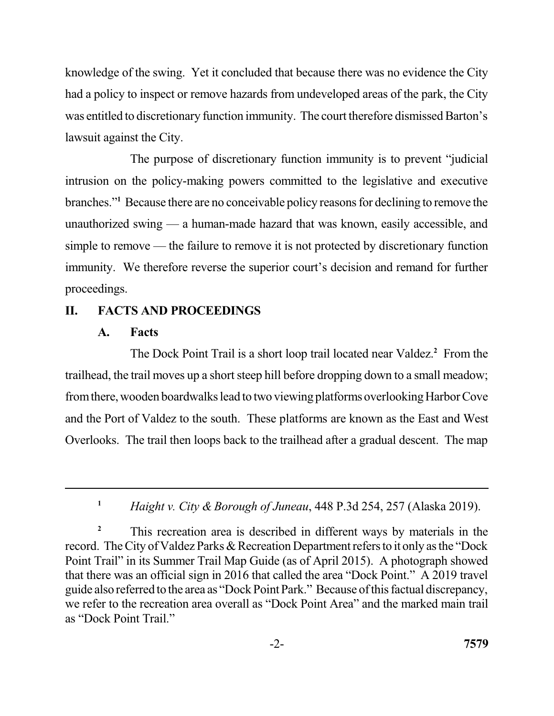knowledge of the swing. Yet it concluded that because there was no evidence the City had a policy to inspect or remove hazards from undeveloped areas of the park, the City was entitled to discretionary function immunity. The court therefore dismissed Barton's lawsuit against the City.

 The purpose of discretionary function immunity is to prevent "judicial intrusion on the policy-making powers committed to the legislative and executive branches."**<sup>1</sup>**Because there are no conceivable policy reasons for declining to remove the unauthorized swing — a human-made hazard that was known, easily accessible, and immunity. We therefore reverse the superior court's decision and remand for further simple to remove — the failure to remove it is not protected by discretionary function proceedings.

# **II. FACTS AND PROCEEDINGS**

## **A. Facts**

The Dock Point Trail is a short loop trail located near Valdez.<sup>2</sup> From the trailhead, the trail moves up a short steep hill before dropping down to a small meadow; fromthere, wooden boardwalks lead to two viewing platforms overlooking Harbor Cove and the Port of Valdez to the south. These platforms are known as the East and West Overlooks. The trail then loops back to the trailhead after a gradual descent. The map

 **<sup>1</sup>***Haight v. City & Borough of Juneau*, 448 P.3d 254, 257 (Alaska 2019).

<sup>&</sup>lt;sup>2</sup> This recreation area is described in different ways by materials in the record. The City of Valdez Parks & Recreation Department refers to it only as the "Dock Point Trail" in its Summer Trail Map Guide (as of April 2015). A photograph showed that there was an official sign in 2016 that called the area "Dock Point." A 2019 travel guide also referred to the area as "Dock Point Park." Because of this factual discrepancy, we refer to the recreation area overall as "Dock Point Area" and the marked main trail as "Dock Point Trail."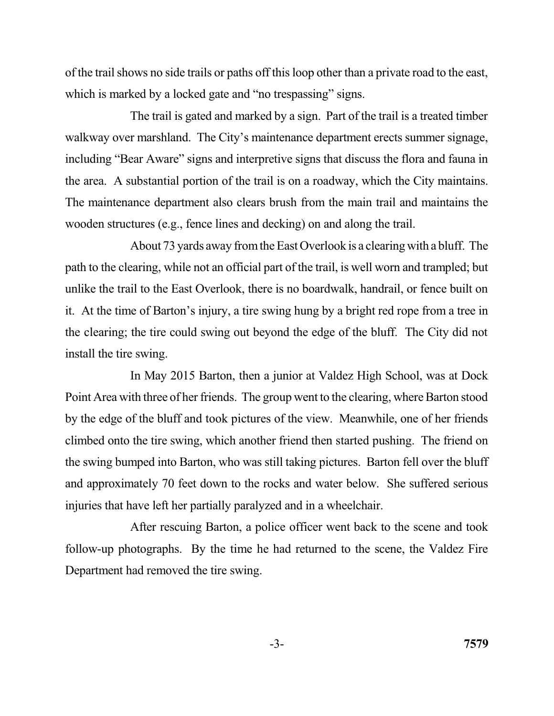of the trail shows no side trails or paths off this loop other than a private road to the east, which is marked by a locked gate and "no trespassing" signs.

 The trail is gated and marked by a sign. Part of the trail is a treated timber walkway over marshland. The City's maintenance department erects summer signage, including "Bear Aware" signs and interpretive signs that discuss the flora and fauna in the area. A substantial portion of the trail is on a roadway, which the City maintains. The maintenance department also clears brush from the main trail and maintains the wooden structures (e.g., fence lines and decking) on and along the trail.

 About 73 yards away from the East Overlook is a clearing with a bluff. The path to the clearing, while not an official part of the trail, is well worn and trampled; but it. At the time of Barton's injury, a tire swing hung by a bright red rope from a tree in the clearing; the tire could swing out beyond the edge of the bluff. The City did not install the tire swing. unlike the trail to the East Overlook, there is no boardwalk, handrail, or fence built on

 In May 2015 Barton, then a junior at Valdez High School, was at Dock Point Area with three of her friends. The group went to the clearing, where Barton stood by the edge of the bluff and took pictures of the view. Meanwhile, one of her friends the swing bumped into Barton, who was still taking pictures. Barton fell over the bluff and approximately 70 feet down to the rocks and water below. She suffered serious injuries that have left her partially paralyzed and in a wheelchair. climbed onto the tire swing, which another friend then started pushing. The friend on

 After rescuing Barton, a police officer went back to the scene and took follow-up photographs. By the time he had returned to the scene, the Valdez Fire Department had removed the tire swing.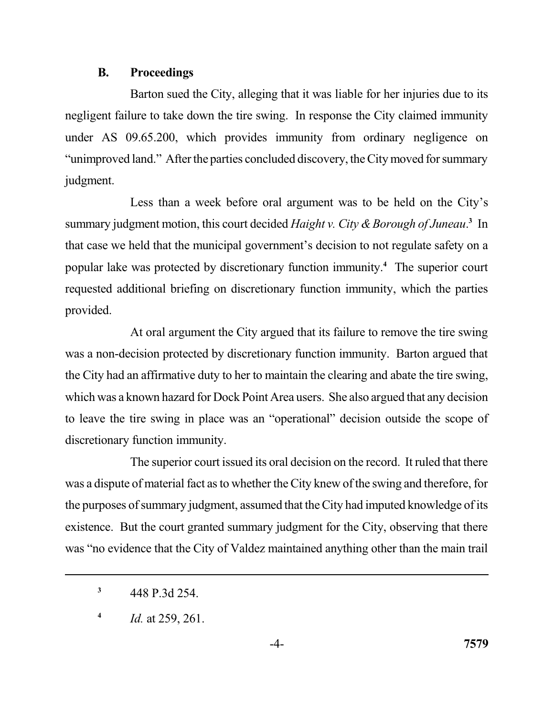#### **B. Proceedings**

 Barton sued the City, alleging that it was liable for her injuries due to its negligent failure to take down the tire swing. In response the City claimed immunity under AS 09.65.200, which provides immunity from ordinary negligence on "unimproved land." After the parties concluded discovery, the City moved for summary judgment.

 Less than a week before oral argument was to be held on the City's summary judgment motion, this court decided *Haight v. City & Borough of Juneau*.<sup>3</sup> In that case we held that the municipal government's decision to not regulate safety on a popular lake was protected by discretionary function immunity.**<sup>4</sup>**The superior court requested additional briefing on discretionary function immunity, which the parties provided.

 was a non-decision protected by discretionary function immunity. Barton argued that the City had an affirmative duty to her to maintain the clearing and abate the tire swing, which was a known hazard for Dock Point Area users. She also argued that any decision to leave the tire swing in place was an "operational" decision outside the scope of discretionary function immunity. At oral argument the City argued that its failure to remove the tire swing

 The superior court issued its oral decision on the record. It ruled that there was a dispute of material fact as to whether the City knew of the swing and therefore, for the purposes of summary judgment, assumed that the City had imputed knowledge of its existence. But the court granted summary judgment for the City, observing that there was "no evidence that the City of Valdez maintained anything other than the main trail

**<sup>3</sup>**448 P.3d 254.

**<sup>4</sup>***Id.* at 259, 261.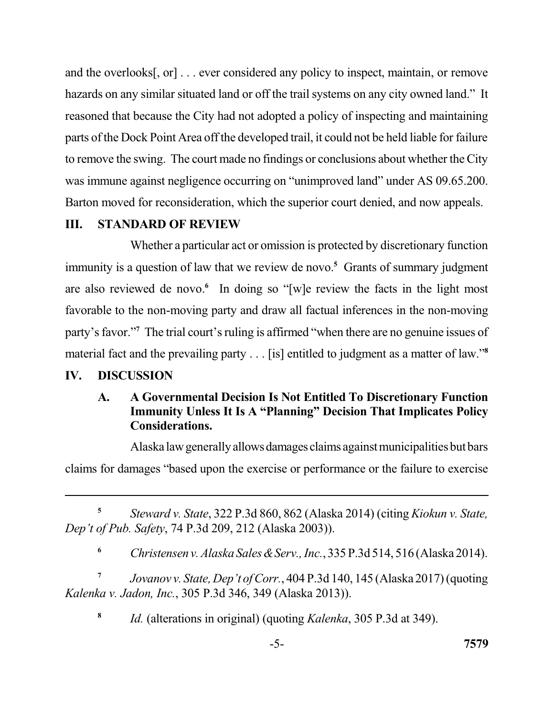hazards on any similar situated land or off the trail systems on any city owned land." It reasoned that because the City had not adopted a policy of inspecting and maintaining parts of the Dock Point Area off the developed trail, it could not be held liable for failure to remove the swing. The court made no findings or conclusions about whether the City was immune against negligence occurring on "unimproved land" under AS 09.65.200. Barton moved for reconsideration, which the superior court denied, and now appeals. and the overlooks[, or] . . . ever considered any policy to inspect, maintain, or remove

### **III. STANDARD OF REVIEW**

 Whether a particular act or omission is protected by discretionary function immunity is a question of law that we review de novo.**<sup>5</sup>** Grants of summary judgment are also reviewed de novo.<sup>6</sup> In doing so "[w]e review the facts in the light most favorable to the non-moving party and draw all factual inferences in the non-moving party's favor."**<sup>7</sup>**The trial court's ruling is affirmed "when there are no genuine issues of material fact and the prevailing party . . . [is] entitled to judgment as a matter of law."**<sup>8</sup>**

## **IV. DISCUSSION**

## **A. A Governmental Decision Is Not Entitled To Discretionary Function Immunity Unless It Is A "Planning" Decision That Implicates Policy Considerations.**

 Alaskalawgenerally allowsdamagesclaims againstmunicipalities but bars claims for damages "based upon the exercise or performance or the failure to exercise

 **<sup>5</sup>***Steward v. State*, 322 P.3d 860, 862 (Alaska 2014) (citing *Kiokun v. State, Dep't of Pub. Safety*, 74 P.3d 209, 212 (Alaska 2003)).

 **<sup>6</sup>***Christensen v. Alaska Sales&Serv., Inc.*, 335 P.3d 514, 516 (Alaska 2014).

 **<sup>7</sup>***Jovanov v. State, Dep't of Corr.*, 404 P.3d 140, 145 (Alaska 2017) (quoting  *Kalenka v. Jadon, Inc.*, 305 P.3d 346, 349 (Alaska 2013)).

**<sup>8</sup>***Id.* (alterations in original) (quoting *Kalenka*, 305 P.3d at 349).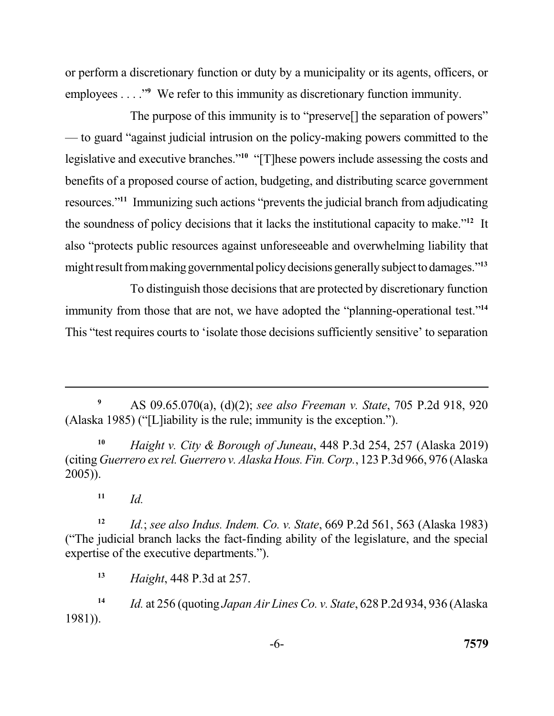employees . . . ."<sup>9</sup> We refer to this immunity as discretionary function immunity. or perform a discretionary function or duty by a municipality or its agents, officers, or

 The purpose of this immunity is to "preserve[] the separation of powers" — to guard "against judicial intrusion on the policy-making powers committed to the legislative and executive branches."**<sup>10</sup>**"[T]hese powers include assessing the costs and benefits of a proposed course of action, budgeting, and distributing scarce government resources."**<sup>11</sup>**Immunizing such actions "prevents the judicial branch from adjudicating the soundness of policy decisions that it lacks the institutional capacity to make."**<sup>12</sup>**It also "protects public resources against unforeseeable and overwhelming liability that mightresult frommakinggovernmentalpolicydecisions generallysubject todamages."**<sup>13</sup>**

 To distinguish those decisions that are protected by discretionary function immunity from those that are not, we have adopted the "planning-operational test."**<sup>14</sup>** This "test requires courts to 'isolate those decisions sufficiently sensitive' to separation

**<sup>9</sup>**AS 09.65.070(a), (d)(2); *see also Freeman v. State*, 705 P.2d 918, 920 (Alaska 1985) ("[L]iability is the rule; immunity is the exception.").

**<sup>10</sup>***Haight v. City & Borough of Juneau*, 448 P.3d 254, 257 (Alaska 2019) (citing *Guerrero ex rel. Guerrero v. Alaska Hous. Fin. Corp.*, 123 P.3d 966, 976 (Alaska 2005)).

 $11$  *Id.* 

**<sup>12</sup>***Id.*; *see also Indus. Indem. Co. v. State*, 669 P.2d 561, 563 (Alaska 1983) ("The judicial branch lacks the fact-finding ability of the legislature, and the special expertise of the executive departments.").

**<sup>13</sup>***Haight*, 448 P.3d at 257.

**<sup>14</sup>***Id.* at 256 (quoting *Japan Air Lines Co. v. State*, 628 P.2d 934, 936 (Alaska 1981)).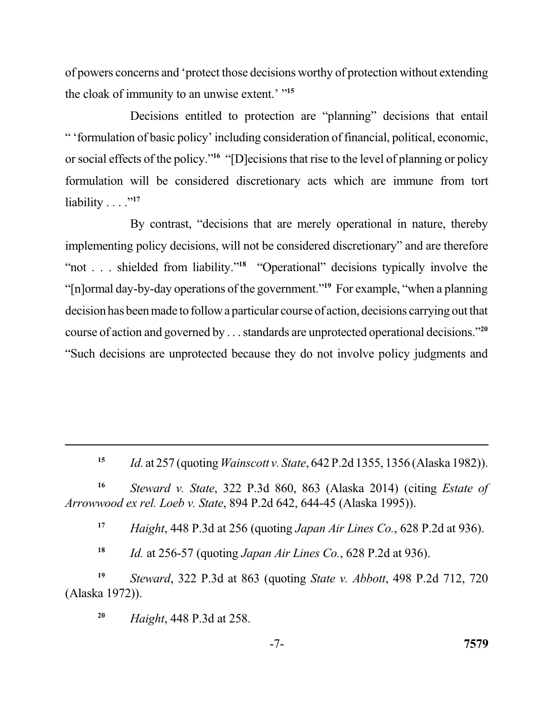of powers concerns and 'protect those decisions worthy of protection without extending the cloak of immunity to an unwise extent.' "**<sup>15</sup>**

 Decisions entitled to protection are "planning" decisions that entail " 'formulation of basic policy' including consideration of financial, political, economic, or social effects of the policy."**<sup>16</sup>**"[D]ecisions that rise to the level of planning or policy formulation will be considered discretionary acts which are immune from tort liability . . . ."**<sup>17</sup>**

 By contrast, "decisions that are merely operational in nature, thereby implementing policy decisions, will not be considered discretionary" and are therefore "not . . . shielded from liability."**<sup>18</sup>**"Operational" decisions typically involve the "[n]ormal day-by-day operations of the government."**<sup>19</sup>**For example, "when a planning decision has been made to follow a particular course of action, decisions carrying out that course of action and governed by . . . standards are unprotected operational decisions."**<sup>20</sup>** "Such decisions are unprotected because they do not involve policy judgments and

**<sup>15</sup>***Id.* at 257 (quoting *Wainscott v. State*, 642 P.2d 1355, 1356 (Alaska 1982)).

**<sup>16</sup>***Steward v. State*, 322 P.3d 860, 863 (Alaska 2014) (citing *Estate of Arrowwood ex rel. Loeb v. State*, 894 P.2d 642, 644-45 (Alaska 1995)).

**<sup>17</sup>***Haight*, 448 P.3d at 256 (quoting *Japan Air Lines Co.*, 628 P.2d at 936).

**<sup>18</sup>***Id.* at 256-57 (quoting *Japan Air Lines Co.*, 628 P.2d at 936).

**<sup>19</sup>***Steward*, 322 P.3d at 863 (quoting *State v. Abbott*, 498 P.2d 712, 720 (Alaska 1972)).

**<sup>20</sup>***Haight*, 448 P.3d at 258.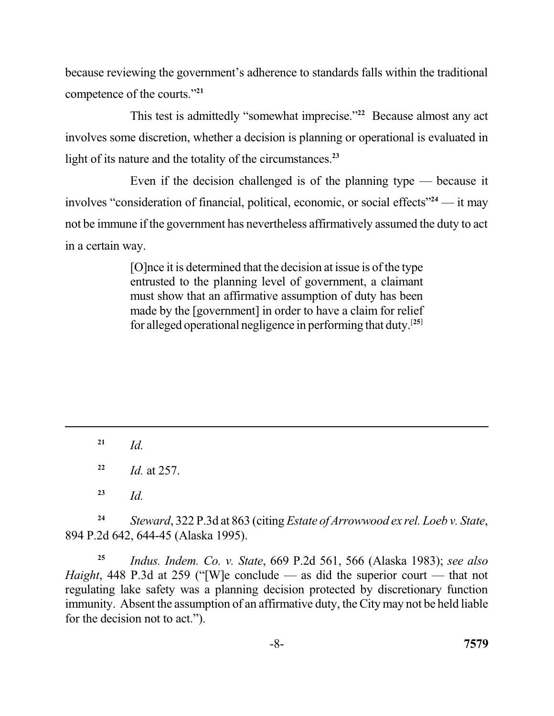because reviewing the government's adherence to standards falls within the traditional competence of the courts."**<sup>21</sup>**

This test is admittedly "somewhat imprecise."<sup>22</sup> Because almost any act involves some discretion, whether a decision is planning or operational is evaluated in light of its nature and the totality of the circumstances.**<sup>23</sup>**

 Even if the decision challenged is of the planning type — because it involves "consideration of financial, political, economic, or social effects"**<sup>24</sup>**— it may not be immune if the government has nevertheless affirmatively assumed the duty to act in a certain way.

> [O]nce it is determined that the decision at issue is of the type entrusted to the planning level of government, a claimant must show that an affirmative assumption of duty has been made by the [government] in order to have a claim for relief for alleged operational negligence in performing that duty.[**25**]

 $^{21}$  *Id.* 

**<sup>22</sup>***Id.* at 257.

 $^{23}$  *Id.* 

**<sup>24</sup>***Steward*, 322 P.3d at 863 (citing *Estate of Arrowwood ex rel. Loeb v. State*, 894 P.2d 642, 644-45 (Alaska 1995).

**<sup>25</sup>***Indus. Indem. Co. v. State*, 669 P.2d 561, 566 (Alaska 1983); *see also Haight*, 448 P.3d at 259 ("[W]e conclude — as did the superior court — that not regulating lake safety was a planning decision protected by discretionary function immunity. Absent the assumption of an affirmative duty, the City may not be held liable for the decision not to act.").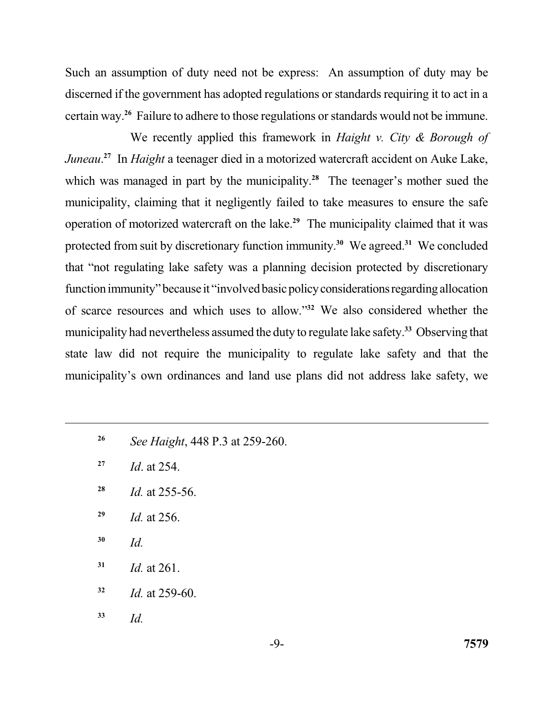Such an assumption of duty need not be express: An assumption of duty may be discerned if the government has adopted regulations or standards requiring it to act in a certain way.**<sup>26</sup>**Failure to adhere to those regulations or standards would not be immune.

 We recently applied this framework in *Haight v. City & Borough of Juneau*. **<sup>27</sup>**In *Haight* a teenager died in a motorized watercraft accident on Auke Lake, which was managed in part by the municipality.<sup>28</sup> The teenager's mother sued the municipality, claiming that it negligently failed to take measures to ensure the safe operation of motorized watercraft on the lake.<sup>29</sup> The municipality claimed that it was protected from suit by discretionary function immunity.<sup>30</sup> We agreed.<sup>31</sup> We concluded that "not regulating lake safety was a planning decision protected by discretionary function immunity" because it "involved basic policy considerations regarding allocation of scarce resources and which uses to allow."**<sup>32</sup>**We also considered whether the municipality had nevertheless assumed the duty to regulate lake safety.**<sup>33</sup>**Observing that state law did not require the municipality to regulate lake safety and that the municipality's own ordinances and land use plans did not address lake safety, we

- **26** *See Haight*, 448 P.3 at 259-260.
- **27** *Id*. at 254.
- **28** *Id.* at 255-56.
- **29** *Id.* at 256.
- **30** *Id.*
- **<sup>31</sup>***Id.* at 261.
- **<sup>32</sup>***Id.* at 259-60.
- **<sup>33</sup>***Id.*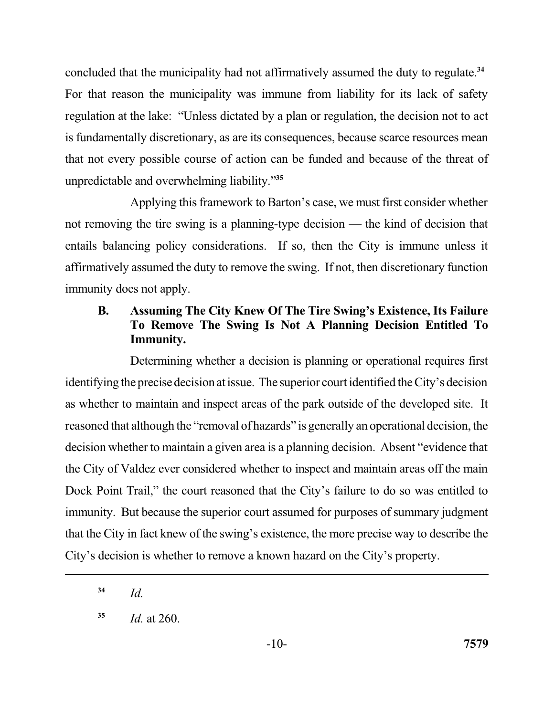concluded that the municipality had not affirmatively assumed the duty to regulate.**<sup>34</sup>** For that reason the municipality was immune from liability for its lack of safety is fundamentally discretionary, as are its consequences, because scarce resources mean that not every possible course of action can be funded and because of the threat of unpredictable and overwhelming liability."**<sup>35</sup>** regulation at the lake: "Unless dictated by a plan or regulation, the decision not to act

 Applying this framework to Barton's case, we must first consider whether not removing the tire swing is a planning-type decision — the kind of decision that entails balancing policy considerations. If so, then the City is immune unless it affirmatively assumed the duty to remove the swing. If not, then discretionary function immunity does not apply.

# **B. Assuming The City Knew Of The Tire Swing's Existence, Its Failure To Remove The Swing Is Not A Planning Decision Entitled To Immunity.**

 Determining whether a decision is planning or operational requires first identifying the precise decision at issue. The superior court identified the City's decision as whether to maintain and inspect areas of the park outside of the developed site. It reasoned that although the "removal of hazards" is generally an operational decision, the decision whether to maintain a given area is a planning decision. Absent "evidence that the City of Valdez ever considered whether to inspect and maintain areas off the main Dock Point Trail," the court reasoned that the City's failure to do so was entitled to immunity. But because the superior court assumed for purposes of summary judgment that the City in fact knew of the swing's existence, the more precise way to describe the City's decision is whether to remove a known hazard on the City's property.

 $34$  *Id.* 

**<sup>35</sup>***Id.* at 260.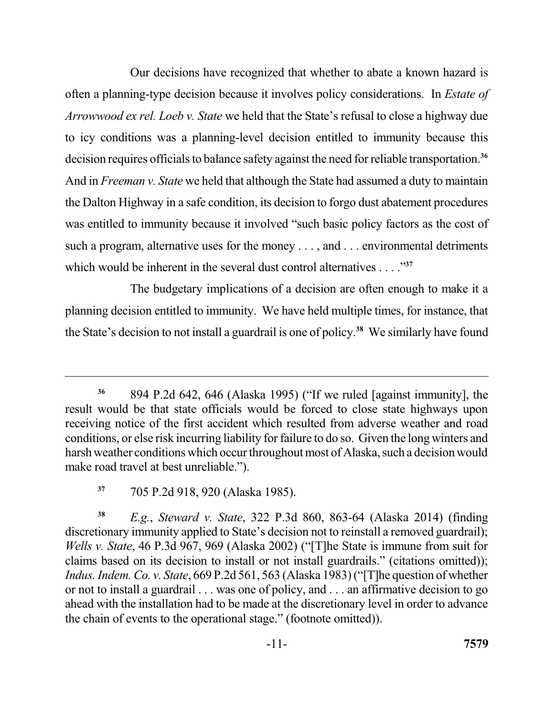Our decisions have recognized that whether to abate a known hazard is often a planning-type decision because it involves policy considerations. In *Estate of Arrowwood ex rel. Loeb v. State* we held that the State's refusal to close a highway due to icy conditions was a planning-level decision entitled to immunity because this decision requires officials to balance safety against the need for reliable transportation.**<sup>36</sup>** And in *Freeman v. State* we held that although the State had assumed a duty to maintain the Dalton Highway in a safe condition, its decision to forgo dust abatement procedures was entitled to immunity because it involved "such basic policy factors as the cost of such a program, alternative uses for the money . . . , and . . . environmental detriments which would be inherent in the several dust control alternatives . . . .<sup>"37</sup>

 The budgetary implications of a decision are often enough to make it a planning decision entitled to immunity. We have held multiple times, for instance, that the State's decision to not install a guardrail is one of policy.<sup>38</sup> We similarly have found

 **<sup>38</sup>***E.g.*, *Steward v. State*, 322 P.3d 860, 863-64 (Alaska 2014) (finding discretionary immunity applied to State's decision not to reinstall a removed guardrail); *Wells v. State*, 46 P.3d 967, 969 (Alaska 2002) ("[T]he State is immune from suit for claims based on its decision to install or not install guardrails." (citations omitted));  *Indus. Indem. Co. v. State*, 669 P.2d 561, 563 (Alaska 1983) ("[T]he question of whether or not to install a guardrail . . . was one of policy, and . . . an affirmative decision to go ahead with the installation had to be made at the discretionary level in order to advance the chain of events to the operational stage." (footnote omitted)).

 **<sup>36</sup>**894 P.2d 642, 646 (Alaska 1995) ("If we ruled [against immunity], the result would be that state officials would be forced to close state highways upon receiving notice of the first accident which resulted from adverse weather and road conditions, or else risk incurring liability for failure to do so. Given the long winters and harsh weather conditions which occur throughout most of Alaska, such a decision would make road travel at best unreliable.").

 **<sup>37</sup>**705 P.2d 918, 920 (Alaska 1985).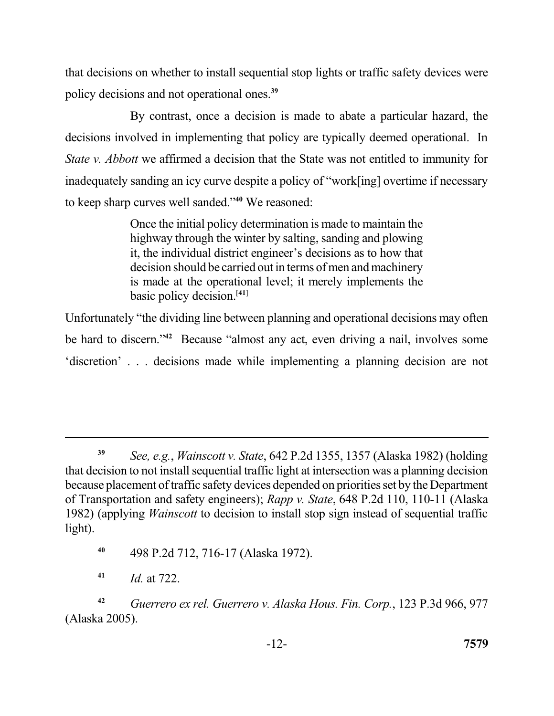that decisions on whether to install sequential stop lights or traffic safety devices were policy decisions and not operational ones.**<sup>39</sup>**

 By contrast, once a decision is made to abate a particular hazard, the decisions involved in implementing that policy are typically deemed operational. In *State v. Abbott* we affirmed a decision that the State was not entitled to immunity for inadequately sanding an icy curve despite a policy of "work[ing] overtime if necessary to keep sharp curves well sanded."**<sup>40</sup>**We reasoned:

> Once the initial policy determination is made to maintain the highway through the winter by salting, sanding and plowing decision should be carried out in terms of men and machinery is made at the operational level; it merely implements the basic policy decision.[**41**] it, the individual district engineer's decisions as to how that

 Unfortunately "the dividing line between planning and operational decisions may often be hard to discern."<sup>42</sup> Because "almost any act, even driving a nail, involves some 'discretion' . . . decisions made while implementing a planning decision are not

**<sup>39</sup>***See, e.g.*, *Wainscott v. State*, 642 P.2d 1355, 1357 (Alaska 1982) (holding that decision to not install sequential traffic light at intersection was a planning decision because placement of traffic safety devices depended on priorities set by the Department of Transportation and safety engineers); *Rapp v. State*, 648 P.2d 110, 110-11 (Alaska 1982) (applying *Wainscott* to decision to install stop sign instead of sequential traffic light).

**<sup>40</sup>**498 P.2d 712, 716-17 (Alaska 1972).

**<sup>41</sup>***Id.* at 722.

**<sup>42</sup>***Guerrero ex rel. Guerrero v. Alaska Hous. Fin. Corp.*, 123 P.3d 966, 977 (Alaska 2005).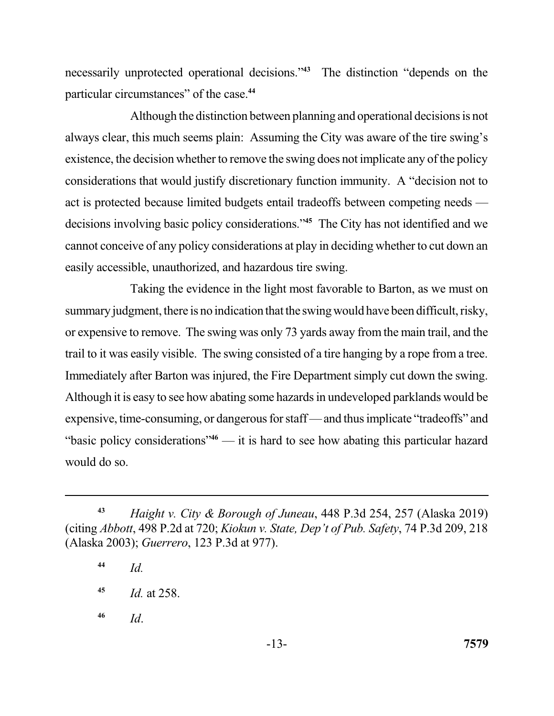necessarily unprotected operational decisions."<sup>43</sup> The distinction "depends on the particular circumstances" of the case.**<sup>44</sup>**

 Although the distinction between planning and operational decisions is not always clear, this much seems plain: Assuming the City was aware of the tire swing's existence, the decision whether to remove the swing does not implicate any of the policy considerations that would justify discretionary function immunity. A "decision not to act is protected because limited budgets entail tradeoffs between competing needs — decisions involving basic policy considerations."**<sup>45</sup>**The City has not identified and we cannot conceive of any policy considerations at play in deciding whether to cut down an easily accessible, unauthorized, and hazardous tire swing.

 summary judgment, there is no indication that the swing would have been difficult, risky, or expensive to remove. The swing was only 73 yards away from the main trail, and the trail to it was easily visible. The swing consisted of a tire hanging by a rope from a tree. Immediately after Barton was injured, the Fire Department simply cut down the swing. Although it is easy to see how abating some hazards in undeveloped parklands would be expensive, time-consuming, or dangerous for staff — and thus implicate "tradeoffs" and "basic policy considerations"**<sup>46</sup>**— it is hard to see how abating this particular hazard would do so. Taking the evidence in the light most favorable to Barton, as we must on

**<sup>43</sup>***Haight v. City & Borough of Juneau*, 448 P.3d 254, 257 (Alaska 2019) (citing *Abbott*, 498 P.2d at 720; *Kiokun v. State, Dep't of Pub. Safety*, 74 P.3d 209, 218 (Alaska 2003); *Guerrero*, 123 P.3d at 977).

**<sup>44</sup>***Id.* 

**<sup>45</sup>***Id.* at 258.

**<sup>46</sup>***Id*.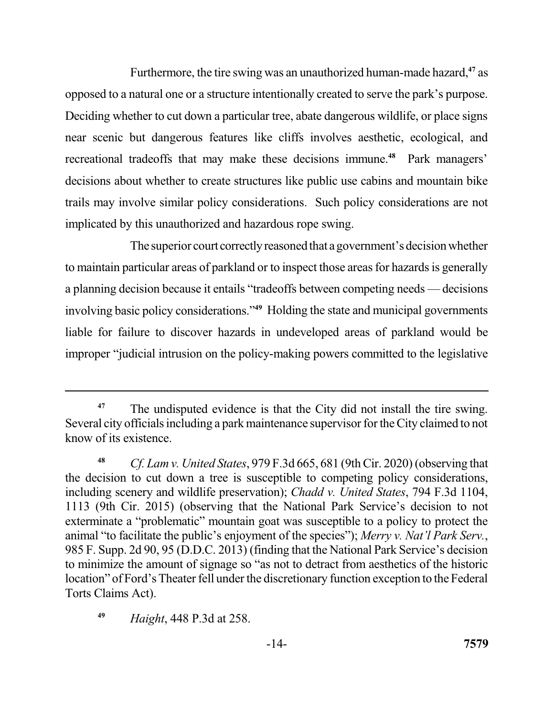Furthermore, the tire swing was an unauthorized human-made hazard,**<sup>47</sup>**as opposed to a natural one or a structure intentionally created to serve the park's purpose. Deciding whether to cut down a particular tree, abate dangerous wildlife, or place signs near scenic but dangerous features like cliffs involves aesthetic, ecological, and recreational tradeoffs that may make these decisions immune.<sup>48</sup> Park managers' decisions about whether to create structures like public use cabins and mountain bike trails may involve similar policy considerations. Such policy considerations are not implicated by this unauthorized and hazardous rope swing.

The superior court correctly reasoned that a government's decision whether to maintain particular areas of parkland or to inspect those areas for hazards is generally a planning decision because it entails "tradeoffs between competing needs — decisions involving basic policy considerations."<sup>49</sup> Holding the state and municipal governments liable for failure to discover hazards in undeveloped areas of parkland would be improper "judicial intrusion on the policy-making powers committed to the legislative

**<sup>49</sup>***Haight*, 448 P.3d at 258.

<sup>&</sup>lt;sup>47</sup> The undisputed evidence is that the City did not install the tire swing. Several city officials including a park maintenance supervisor for the City claimed to not know of its existence.

 **<sup>48</sup>***Cf. Lam v. United States*, 979 F.3d 665, 681 (9th Cir. 2020) (observing that the decision to cut down a tree is susceptible to competing policy considerations, including scenery and wildlife preservation); *Chadd v. United States*, 794 F.3d 1104, 1113 (9th Cir. 2015) (observing that the National Park Service's decision to not exterminate a "problematic" mountain goat was susceptible to a policy to protect the animal "to facilitate the public's enjoyment of the species"); *Merry v. Nat'l Park Serv.*, 985 F. Supp. 2d 90, 95 (D.D.C. 2013) (finding that the National Park Service's decision to minimize the amount of signage so "as not to detract from aesthetics of the historic location" of Ford's Theater fell under the discretionary function exception to the Federal Torts Claims Act).